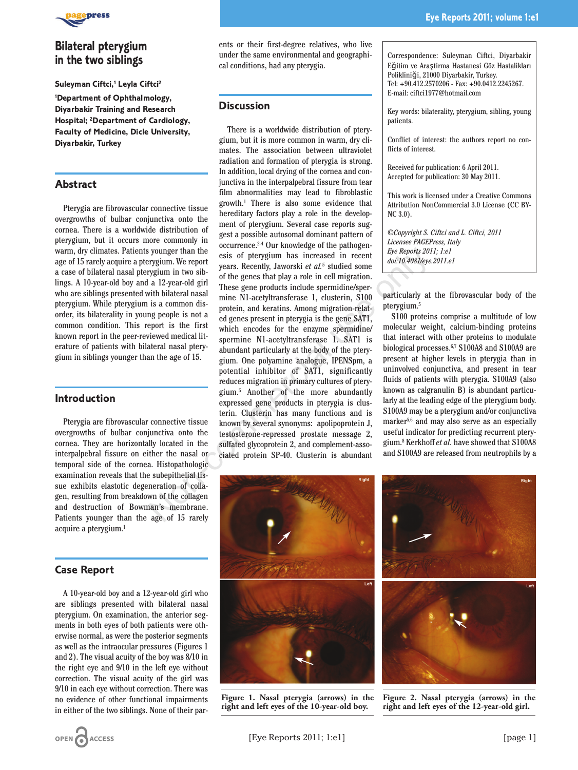

# **Bilateral pterygium in the two siblings**

#### **Suleyman Ciftci,1 Leyla Ciftci2**

**1 Department of Ophthalmology, Diyarbakir Training and Research Hospital; 2 Department of Cardiology, Faculty of Medicine, Dicle University, Diyarbakir, Turkey**

#### **Abstract**

Pterygia are fibrovascular connective tissue overgrowths of bulbar conjunctiva onto the cornea. There is a worldwide distribution of pterygium, but it occurs more commonly in warm, dry climates. Patients younger than the age of 15 rarely acquire a pterygium. We report a case of bilateral nasal pterygium in two siblings. A 10-year-old boy and a 12-year-old girl who are siblings presented with bilateral nasal pterygium. While pterygium is a common disorder, its bilaterality in young people is not a common condition. This report is the first known report in the peer-reviewed medical literature of patients with bilateral nasal pterygium in siblings younger than the age of 15.

#### **Introduction**

Pterygia are fibrovascular connective tissue overgrowths of bulbar conjunctiva onto the cornea. They are horizontally located in the interpalpebral fissure on either the nasal or temporal side of the cornea. Histopathologic examination reveals that the subepithelial tissue exhibits elastotic degeneration of collagen, resulting from breakdown of the collagen and destruction of Bowman's membrane. Patients younger than the age of 15 rarely acquire a pterygium.<sup>1</sup>

#### **Case Report**

A 10-year-old boy and a 12-year-old girl who are siblings presented with bilateral nasal pterygium. On examination, the anterior segments in both eyes of both patients were otherwise normal, as were the posterior segments as well as the intraocular pressures (Figures 1 and 2). The visual acuity of the boy was 8/10 in the right eye and 9/10 in the left eye without correction. The visual acuity of the girl was 9/10 in each eye without correction. There was no evidence of other functional impairments in either of the two siblings. None of their parents or their first-degree relatives, who live under the same environmental and geographical conditions, had any pterygia.

### **Discussion**

There is a worldwide distribution of pterygium, but it is more common in warm, dry climates. The association between ultraviolet radiation and formation of pterygia is strong. In addition, local drying of the cornea and conjunctiva in the interpalpebral fissure from tear film abnormalities may lead to fibroblastic growth.1 There is also some evidence that hereditary factors play a role in the development of pterygium. Several case reports suggest a possible autosomal dominant pattern of occurrence.2-4 Our knowledge of the pathogenesis of pterygium has increased in recent years. Recently, Jaworski *et al.*<sup>5</sup> studied some of the genes that play a role in cell migration. These gene products include spermidine/spermine N1-acetyltransferase 1, clusterin, S100 protein, and keratins. Among migration-related genes present in pterygia is the gene SAT1, which encodes for the enzyme spermidine/ spermine N1-acetyltransferase 1. SAT1 is abundant particularly at the body of the pterygium. One polyamine analogue, IPENSpm, a potential inhibitor of SAT1, significantly reduces migration in primary cultures of pterygium.5 Another of the more abundantly expressed gene products in pterygia is clusterin. Clusterin has many functions and is known by several synonyms: apolipoprotein J, testosterone-repressed prostate message 2, sulfated glycoprotein 2, and complement-associated protein SP-40. Clusterin is abundant younger than the<br>
regroent to the control to the sense of perrygium has increased in recent<br>
regroent to the genes has that play a relevant of the genes in recent<br>
region in two sib-<br>
and  $2\cdot$ year-old gird<br>
in the sense

Correspondence: Suleyman Ciftci, Diyarbakir Eğitim ve Araştirma Hastanesi Göz Hastalikları Polikliniği, 21000 Diyarbakir, Turkey. Tel: +90.412.2570206 - Fax: +90.0412.2245267. E-mail: ciftci1977@hotmail.com

Key words: bilaterality, pterygium, sibling, young patients.

Conflict of interest: the authors report no conflicts of interest.

Received for publication: 6 April 2011. Accepted for publication: 30 May 2011.

This work is licensed under a Creative Commons Attribution NonCommercial 3.0 License (CC BY-NC 3.0).

*©Copyright S. Ciftci and L. Ciftci, 2011 Licensee PAGEPress, Italy Eye Reports 2011; 1:e1 doi:10.4081/eye.2011.e1*

particularly at the fibrovascular body of the pterygium.5

S100 proteins comprise a multitude of low molecular weight, calcium-binding proteins that interact with other proteins to modulate biological processes.6,7 S100A8 and S100A9 are present at higher levels in pterygia than in uninvolved conjunctiva, and present in tear fluids of patients with pterygia. S100A9 (also known as calgranulin B) is abundant particularly at the leading edge of the pterygium body. S100A9 may be a pterygium and/or conjunctiva marker5,6 and may also serve as an especially useful indicator for predicting recurrent pterygium.8 Kerkhoff *et al.* have showed that S100A8 and S100A9 are released from neutrophils by a



**Figure 1. Nasal pterygia (arrows) in the right and left eyes of the 10-year-old boy.**



**Figure 2. Nasal pterygia (arrows) in the right and left eyes of the 12-year-old girl.**